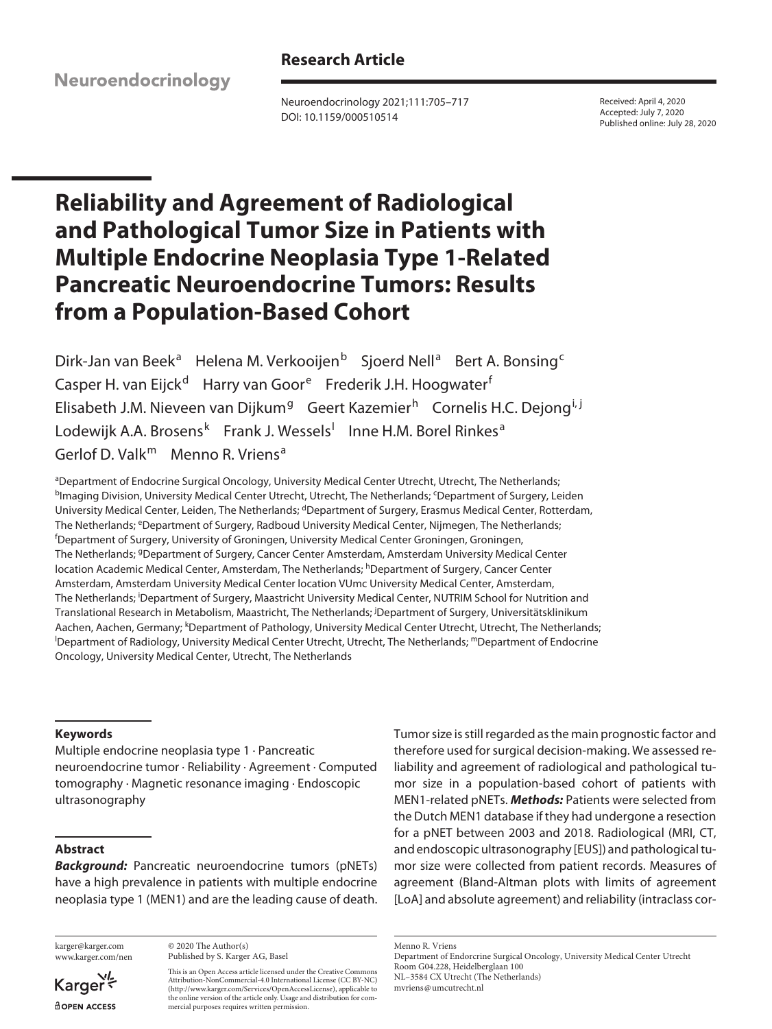**Research Article**

Neuroendocrinology

Neuroendocrinology 2021;111:705–717 DOI: 10.1159/000510514

Received: April 4, 2020 Accepted: July 7, 2020 Published online: July 28, 2020

# **Reliability and Agreement of Radiological and Pathological Tumor Size in Patients with Multiple Endocrine Neoplasia Type 1-Related Pancreatic Neuroendocrine Tumors: Results from a Population-Based Cohort**

Dirk-Jan van Beek<sup>a</sup> Helena M. Verkooijen<sup>b</sup> Sjoerd Nell<sup>a</sup> Bert A. Bonsing<sup>c</sup> Casper H. van Eijck<sup>d</sup> Harry van Goor<sup>e</sup> Frederik J.H. Hoogwater<sup>f</sup> Elisabeth J.M. Nieveen van Dijkum<sup>g</sup> Geert Kazemier<sup>h</sup> Cornelis H.C. Dejong<sup>i, j</sup> Lodewijk A.A. Brosens<sup>k</sup> Frank J. Wessels<sup>l</sup> Inne H.M. Borel Rinkes<sup>a</sup> Gerlof D. Valk<sup>m</sup> Menno R. Vriens<sup>a</sup>

aDepartment of Endocrine Surgical Oncology, University Medical Center Utrecht, Utrecht, The Netherlands; <sup>b</sup>lmaging Division, University Medical Center Utrecht, Utrecht, The Netherlands; ʿDepartment of Surgery, Leiden University Medical Center, Leiden, The Netherlands; <sup>d</sup>Department of Surgery, Erasmus Medical Center, Rotterdam, The Netherlands; <sup>e</sup>Department of Surgery, Radboud University Medical Center, Nijmegen, The Netherlands; Department of Surgery, University of Groningen, University Medical Center Groningen, Groningen, The Netherlands; <sup>g</sup>Department of Surgery, Cancer Center Amsterdam, Amsterdam University Medical Center location Academic Medical Center, Amsterdam, The Netherlands; <sup>h</sup>Department of Surgery, Cancer Center Amsterdam, Amsterdam University Medical Center location VUmc University Medical Center, Amsterdam, The Netherlands; <sup>i</sup>Department of Surgery, Maastricht University Medical Center, NUTRIM School for Nutrition and Translational Research in Metabolism, Maastricht, The Netherlands; <sup>j</sup> Department of Surgery, Universitätsklinikum Aachen, Aachen, Germany; <sup>k</sup>Department of Pathology, University Medical Center Utrecht, Utrecht, The Netherlands;<br><sup>I</sup>Department of Badiology, University Medical Center Utrecht, Utrecht, The Netherlands<sup>, m</sup>Department of En <sup>I</sup>Department of Radiology, University Medical Center Utrecht, Utrecht, The Netherlands; <sup>m</sup>Department of Endocrine Oncology, University Medical Center, Utrecht, The Netherlands

# **Keywords**

Multiple endocrine neoplasia type 1 · Pancreatic neuroendocrine tumor · Reliability · Agreement · Computed tomography · Magnetic resonance imaging · Endoscopic ultrasonography

# **Abstract**

*Background:* Pancreatic neuroendocrine tumors (pNETs) have a high prevalence in patients with multiple endocrine neoplasia type 1 (MEN1) and are the leading cause of death.

karger@karger.com www.karger.com/nen

Karger dopen Access

© 2020 The Author(s) Published by S. Karger AG, Basel

This is an Open Access article licensed under the Creative Commons Attribution-NonCommercial-4.0 International License (CC BY-NC) (http://www.karger.com/Services/OpenAccessLicense), applicable to the online version of the article only. Usage and distribution for commercial purposes requires written permission.

Tumor size is still regarded as the main prognostic factor and therefore used for surgical decision-making. We assessed reliability and agreement of radiological and pathological tumor size in a population-based cohort of patients with MEN1-related pNETs. *Methods:* Patients were selected from the Dutch MEN1 database if they had undergone a resection for a pNET between 2003 and 2018. Radiological (MRI, CT, and endoscopic ultrasonography [EUS]) and pathological tumor size were collected from patient records. Measures of agreement (Bland-Altman plots with limits of agreement [LoA] and absolute agreement) and reliability (intraclass cor-

Menno R. Vriens

Department of Endorcrine Surgical Oncology, University Medical Center Utrecht Room G04.228, Heidelberglaan 100 NL–3584 CX Utrecht (The Netherlands)

mvriens@umcutrecht.nl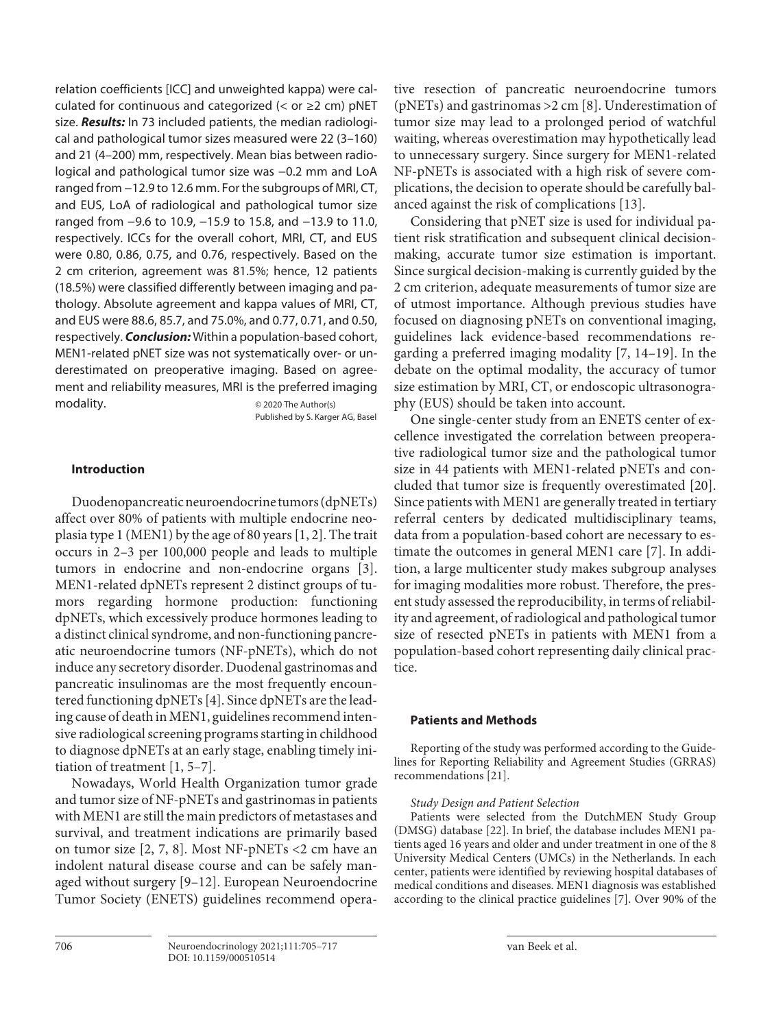relation coefficients [ICC] and unweighted kappa) were calculated for continuous and categorized (< or  $\geq$ 2 cm) pNET size. *Results:* In 73 included patients, the median radiological and pathological tumor sizes measured were 22 (3–160) and 21 (4–200) mm, respectively. Mean bias between radiological and pathological tumor size was −0.2 mm and LoA ranged from −12.9 to 12.6 mm. For the subgroups of MRI, CT, and EUS, LoA of radiological and pathological tumor size ranged from −9.6 to 10.9, −15.9 to 15.8, and −13.9 to 11.0, respectively. ICCs for the overall cohort, MRI, CT, and EUS were 0.80, 0.86, 0.75, and 0.76, respectively. Based on the 2 cm criterion, agreement was 81.5%; hence, 12 patients (18.5%) were classified differently between imaging and pathology. Absolute agreement and kappa values of MRI, CT, and EUS were 88.6, 85.7, and 75.0%, and 0.77, 0.71, and 0.50, respectively. *Conclusion:* Within a population-based cohort, MEN1-related pNET size was not systematically over- or underestimated on preoperative imaging. Based on agreement and reliability measures, MRI is the preferred imaging modality. © 2020 The Author(s)

Published by S. Karger AG, Basel

# **Introduction**

<span id="page-1-1"></span><span id="page-1-0"></span>Duodenopancreatic neuroendocrine tumors (dpNETs) affect over 80% of patients with multiple endocrine neoplasia type 1 (MEN1) by the age of 80 years [[1](#page-11-0), [2\]](#page-11-1). The trait occurs in 2–3 per 100,000 people and leads to multiple tumors in endocrine and non-endocrine organs [[3](#page-11-2)]. MEN1-related dpNETs represent 2 distinct groups of tumors regarding hormone production: functioning dpNETs, which excessively produce hormones leading to a distinct clinical syndrome, and non-functioning pancreatic neuroendocrine tumors (NF-pNETs), which do not induce any secretory disorder. Duodenal gastrinomas and pancreatic insulinomas are the most frequently encountered functioning dpNETs [[4](#page-11-3)]. Since dpNETs are the leading cause of death in MEN1, guidelines recommend intensive radiological screening programs starting in childhood to diagnose dpNETs at an early stage, enabling timely initiation of treatment [\[1](#page-11-0), [5–](#page-11-4)[7](#page-11-5)].

<span id="page-1-5"></span><span id="page-1-4"></span><span id="page-1-3"></span><span id="page-1-2"></span>Nowadays, World Health Organization tumor grade and tumor size of NF-pNETs and gastrinomas in patients with MEN1 are still the main predictors of metastases and survival, and treatment indications are primarily based on tumor size [\[2,](#page-11-1) [7,](#page-11-5) [8](#page-11-6)]. Most NF-pNETs <2 cm have an indolent natural disease course and can be safely managed without surgery [\[9](#page-11-7)[–1](#page-11-0)[2\]](#page-11-1). European Neuroendocrine Tumor Society (ENETS) guidelines recommend operative resection of pancreatic neuroendocrine tumors (pNETs) and gastrinomas >2 cm [[8\]](#page-11-6). Underestimation of tumor size may lead to a prolonged period of watchful waiting, whereas overestimation may hypothetically lead to unnecessary surgery. Since surgery for MEN1-related NF-pNETs is associated with a high risk of severe complications, the decision to operate should be carefully balanced against the risk of complications [\[1](#page-11-0)[3\]](#page-11-2).

<span id="page-1-6"></span>Considering that pNET size is used for individual patient risk stratification and subsequent clinical decisionmaking, accurate tumor size estimation is important. Since surgical decision-making is currently guided by the 2 cm criterion, adequate measurements of tumor size are of utmost importance. Although previous studies have focused on diagnosing pNETs on conventional imaging, guidelines lack evidence-based recommendations regarding a preferred imaging modality [[7](#page-11-5), [1](#page-11-0)[4](#page-11-3)–[1](#page-11-0)[9\]](#page-11-7). In the debate on the optimal modality, the accuracy of tumor size estimation by MRI, CT, or endoscopic ultrasonography (EUS) should be taken into account.

<span id="page-1-8"></span><span id="page-1-7"></span>One single-center study from an ENETS center of excellence investigated the correlation between preoperative radiological tumor size and the pathological tumor size in 44 patients with MEN1-related pNETs and concluded that tumor size is frequently overestimated [[2](#page-11-1)0]. Since patients with MEN1 are generally treated in tertiary referral centers by dedicated multidisciplinary teams, data from a population-based cohort are necessary to estimate the outcomes in general MEN1 care [\[7](#page-11-5)]. In addition, a large multicenter study makes subgroup analyses for imaging modalities more robust. Therefore, the present study assessed the reproducibility, in terms of reliability and agreement, of radiological and pathological tumor size of resected pNETs in patients with MEN1 from a population-based cohort representing daily clinical practice.

# **Patients and Methods**

<span id="page-1-9"></span>Reporting of the study was performed according to the Guidelines for Reporting Reliability and Agreement Studies (GRRAS) recommendations [[2](#page-11-1)[1\]](#page-11-0).

# *Study Design and Patient Selection*

<span id="page-1-10"></span>Patients were selected from the DutchMEN Study Group (DMSG) database [\[22](#page-11-1)]. In brief, the database includes MEN1 patients aged 16 years and older and under treatment in one of the 8 University Medical Centers (UMCs) in the Netherlands. In each center, patients were identified by reviewing hospital databases of medical conditions and diseases. MEN1 diagnosis was established according to the clinical practice guidelines [\[7\]](#page-11-5). Over 90% of the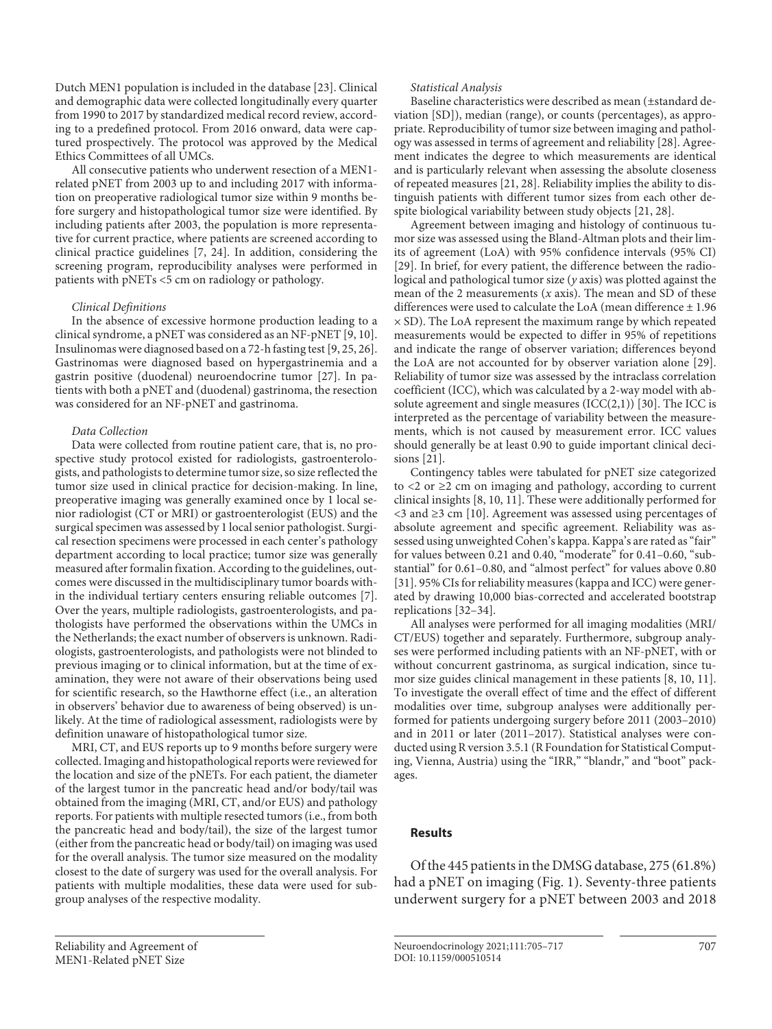<span id="page-2-0"></span>Dutch MEN1 population is included in the database [\[2](#page-11-1)[3](#page-11-2)]. Clinical and demographic data were collected longitudinally every quarter from 1990 to 2017 by standardized medical record review, according to a predefined protocol. From 2016 onward, data were captured prospectively. The protocol was approved by the Medical Ethics Committees of all UMCs.

All consecutive patients who underwent resection of a MEN1 related pNET from 2003 up to and including 2017 with information on preoperative radiological tumor size within 9 months before surgery and histopathological tumor size were identified. By including patients after 2003, the population is more representative for current practice, where patients are screened according to clinical practice guidelines [[7](#page-11-5), [2](#page-11-1)[4\]](#page-11-3). In addition, considering the screening program, reproducibility analyses were performed in patients with pNETs <5 cm on radiology or pathology.

#### <span id="page-2-1"></span>*Clinical Definitions*

<span id="page-2-3"></span><span id="page-2-2"></span>In the absence of excessive hormone production leading to a clinical syndrome, a pNET was considered as an NF-pNET [\[9,](#page-11-7) [1](#page-11-0)0]. Insulinomas were diagnosed based on a 72-h fasting test [[9](#page-11-7), [2](#page-11-1)[5](#page-11-4), [2](#page-11-1)[6\]](#page-11-8). Gastrinomas were diagnosed based on hypergastrinemia and a gastrin positive (duodenal) neuroendocrine tumor [\[2](#page-11-1)[7](#page-11-5)]. In patients with both a pNET and (duodenal) gastrinoma, the resection was considered for an NF-pNET and gastrinoma.

#### *Data Collection*

Data were collected from routine patient care, that is, no prospective study protocol existed for radiologists, gastroenterologists, and pathologists to determine tumor size, so size reflected the tumor size used in clinical practice for decision-making. In line, preoperative imaging was generally examined once by 1 local senior radiologist (CT or MRI) or gastroenterologist (EUS) and the surgical specimen was assessed by 1 local senior pathologist. Surgical resection specimens were processed in each center's pathology department according to local practice; tumor size was generally measured after formalin fixation. According to the guidelines, outcomes were discussed in the multidisciplinary tumor boards within the individual tertiary centers ensuring reliable outcomes [\[7\]](#page-11-5). Over the years, multiple radiologists, gastroenterologists, and pathologists have performed the observations within the UMCs in the Netherlands; the exact number of observers is unknown. Radiologists, gastroenterologists, and pathologists were not blinded to previous imaging or to clinical information, but at the time of examination, they were not aware of their observations being used for scientific research, so the Hawthorne effect (i.e., an alteration in observers' behavior due to awareness of being observed) is unlikely. At the time of radiological assessment, radiologists were by definition unaware of histopathological tumor size.

MRI, CT, and EUS reports up to 9 months before surgery were collected. Imaging and histopathological reports were reviewed for the location and size of the pNETs. For each patient, the diameter of the largest tumor in the pancreatic head and/or body/tail was obtained from the imaging (MRI, CT, and/or EUS) and pathology reports. For patients with multiple resected tumors (i.e., from both the pancreatic head and body/tail), the size of the largest tumor (either from the pancreatic head or body/tail) on imaging was used for the overall analysis. The tumor size measured on the modality closest to the date of surgery was used for the overall analysis. For patients with multiple modalities, these data were used for subgroup analyses of the respective modality.

#### *Statistical Analysis*

<span id="page-2-4"></span>Baseline characteristics were described as mean (±standard deviation [SD]), median (range), or counts (percentages), as appropriate. Reproducibility of tumor size between imaging and pathology was assessed in terms of agreement and reliability [\[2](#page-11-1)[8\]](#page-11-6). Agreement indicates the degree to which measurements are identical and is particularly relevant when assessing the absolute closeness of repeated measures [\[2](#page-11-1)[1](#page-11-0), [2](#page-11-1)[8](#page-11-6)]. Reliability implies the ability to distinguish patients with different tumor sizes from each other despite biological variability between study objects [[2](#page-11-1)[1,](#page-11-0) [2](#page-11-1)[8](#page-11-6)].

Agreement between imaging and histology of continuous tumor size was assessed using the Bland-Altman plots and their limits of agreement (LoA) with 95% confidence intervals (95% CI) [\[2](#page-11-1)[9](#page-11-7)]. In brief, for every patient, the difference between the radiological and pathological tumor size (*y* axis) was plotted against the mean of the 2 measurements (*x* axis). The mean and SD of these differences were used to calculate the LoA (mean difference ± 1.96  $\times$  SD). The LoA represent the maximum range by which repeated measurements would be expected to differ in 95% of repetitions and indicate the range of observer variation; differences beyond the LoA are not accounted for by observer variation alone [\[2](#page-11-1)[9](#page-11-7)]. Reliability of tumor size was assessed by the intraclass correlation coefficient (ICC), which was calculated by a 2-way model with absolute agreement and single measures  $(ICC(2,1))$  [\[30](#page-11-2)]. The ICC is interpreted as the percentage of variability between the measurements, which is not caused by measurement error. ICC values should generally be at least 0.90 to guide important clinical decisions [\[2](#page-11-1)[1](#page-11-0)].

<span id="page-2-5"></span>Contingency tables were tabulated for pNET size categorized to  $\leq$  2 or  $\geq$  2 cm on imaging and pathology, according to current clinical insights [\[8,](#page-11-6) [10](#page-11-0), [11](#page-11-0)]. These were additionally performed for <3 and ≥3 cm [[1](#page-11-0)0]. Agreement was assessed using percentages of absolute agreement and specific agreement. Reliability was assessed using unweighted Cohen's kappa. Kappa's are rated as "fair" for values between 0.21 and 0.40, "moderate" for 0.41–0.60, "substantial" for 0.61–0.80, and "almost perfect" for values above 0.80 [\[3](#page-11-2)[1](#page-11-0)]. 95% CIs for reliability measures (kappa and ICC) were generated by drawing 10,000 bias-corrected and accelerated bootstrap replications [\[3](#page-11-2)[2](#page-11-1)[–3](#page-11-2)[4](#page-11-3)].

<span id="page-2-7"></span><span id="page-2-6"></span>All analyses were performed for all imaging modalities (MRI/ CT/EUS) together and separately. Furthermore, subgroup analyses were performed including patients with an NF-pNET, with or without concurrent gastrinoma, as surgical indication, since tumor size guides clinical management in these patients [\[8](#page-11-6), [1](#page-11-0)0, [11](#page-11-0)]. To investigate the overall effect of time and the effect of different modalities over time, subgroup analyses were additionally performed for patients undergoing surgery before 2011 (2003–2010) and in 2011 or later (2011–2017). Statistical analyses were conducted using R version 3.5.1 (R Foundation for Statistical Computing, Vienna, Austria) using the "IRR," "blandr," and "boot" packages.

## **Results**

Of the 445 patients in the DMSG database, 275 (61.8%) had a pNET on imaging (Fig. 1). Seventy-three patients underwent surgery for a pNET between 2003 and 2018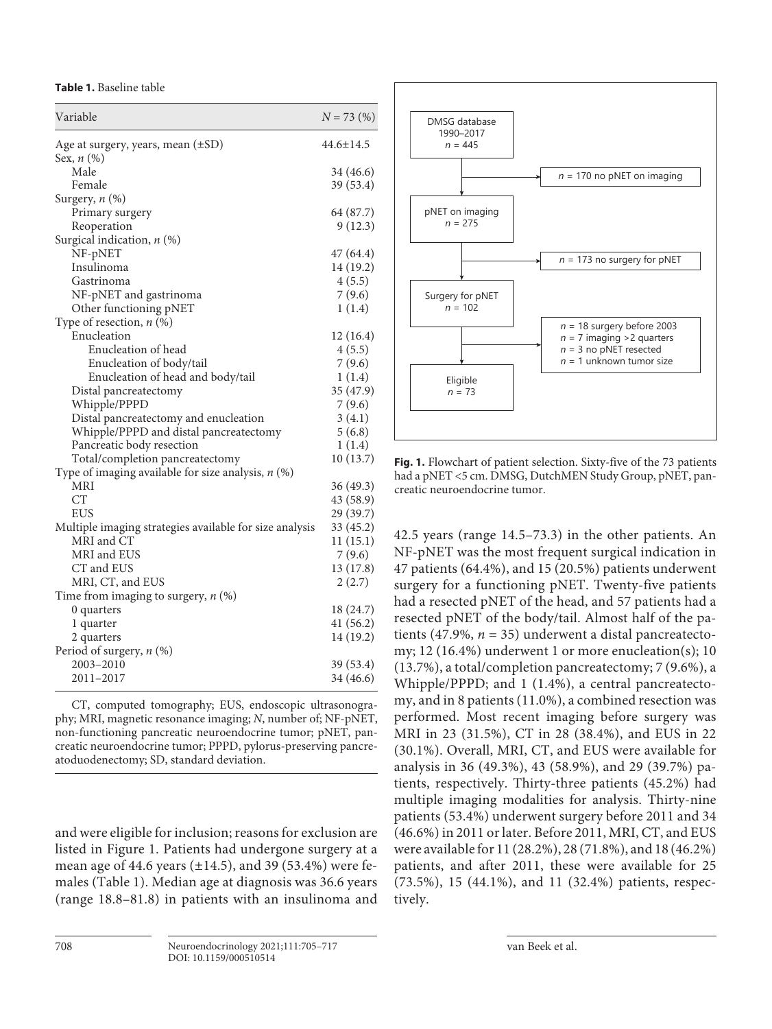**Table 1.** Baseline table

| $44.6 \pm 14.5$<br>Age at surgery, years, mean $(\pm SD)$<br>Sex, $n$ (%)<br>Male<br>34 (46.6)<br>Female<br>39 (53.4)<br>Surgery, n (%)<br>Primary surgery<br>64 (87.7)<br>9(12.3)<br>Reoperation<br>Surgical indication, $n$ (%)<br>NF-pNET<br>47 (64.4)<br>Insulinoma<br>14 (19.2)<br>4(5.5)<br>Gastrinoma<br>NF-pNET and gastrinoma<br>7(9.6)<br>Other functioning pNET<br>1(1.4)<br>Type of resection, $n$ (%)<br>Enucleation<br>12(16.4)<br>Enucleation of head<br>4(5.5)<br>Enucleation of body/tail<br>7(9.6)<br>Enucleation of head and body/tail<br>1(1.4)<br>35 (47.9)<br>Distal pancreatectomy<br>7(9.6)<br>Whipple/PPPD<br>3(4.1)<br>Distal pancreatectomy and enucleation<br>Whipple/PPPD and distal pancreatectomy<br>5(6.8)<br>Pancreatic body resection<br>1(1.4)<br>10(13.7)<br>Total/completion pancreatectomy<br>Type of imaging available for size analysis, $n$ (%)<br>MRI<br>36 (49.3)<br><b>CT</b><br>43 (58.9)<br><b>EUS</b><br>29 (39.7)<br>Multiple imaging strategies available for size analysis<br>33 (45.2)<br>MRI and CT<br>11(15.1)<br>MRI and EUS<br>7(9.6)<br>13(17.8)<br>CT and EUS<br>MRI, CT, and EUS<br>2(2.7)<br>Time from imaging to surgery, $n$ (%)<br>18 (24.7)<br>0 quarters<br>41 (56.2)<br>1 quarter<br>14 (19.2)<br>2 quarters<br>Period of surgery, $n$ (%)<br>2003-2010<br>39 (53.4)<br>2011-2017<br>34 (46.6) | Variable | $N = 73$ (%) |
|-----------------------------------------------------------------------------------------------------------------------------------------------------------------------------------------------------------------------------------------------------------------------------------------------------------------------------------------------------------------------------------------------------------------------------------------------------------------------------------------------------------------------------------------------------------------------------------------------------------------------------------------------------------------------------------------------------------------------------------------------------------------------------------------------------------------------------------------------------------------------------------------------------------------------------------------------------------------------------------------------------------------------------------------------------------------------------------------------------------------------------------------------------------------------------------------------------------------------------------------------------------------------------------------------------------------------------------------------------------------|----------|--------------|
|                                                                                                                                                                                                                                                                                                                                                                                                                                                                                                                                                                                                                                                                                                                                                                                                                                                                                                                                                                                                                                                                                                                                                                                                                                                                                                                                                                 |          |              |
|                                                                                                                                                                                                                                                                                                                                                                                                                                                                                                                                                                                                                                                                                                                                                                                                                                                                                                                                                                                                                                                                                                                                                                                                                                                                                                                                                                 |          |              |
|                                                                                                                                                                                                                                                                                                                                                                                                                                                                                                                                                                                                                                                                                                                                                                                                                                                                                                                                                                                                                                                                                                                                                                                                                                                                                                                                                                 |          |              |
|                                                                                                                                                                                                                                                                                                                                                                                                                                                                                                                                                                                                                                                                                                                                                                                                                                                                                                                                                                                                                                                                                                                                                                                                                                                                                                                                                                 |          |              |
|                                                                                                                                                                                                                                                                                                                                                                                                                                                                                                                                                                                                                                                                                                                                                                                                                                                                                                                                                                                                                                                                                                                                                                                                                                                                                                                                                                 |          |              |
|                                                                                                                                                                                                                                                                                                                                                                                                                                                                                                                                                                                                                                                                                                                                                                                                                                                                                                                                                                                                                                                                                                                                                                                                                                                                                                                                                                 |          |              |
|                                                                                                                                                                                                                                                                                                                                                                                                                                                                                                                                                                                                                                                                                                                                                                                                                                                                                                                                                                                                                                                                                                                                                                                                                                                                                                                                                                 |          |              |
|                                                                                                                                                                                                                                                                                                                                                                                                                                                                                                                                                                                                                                                                                                                                                                                                                                                                                                                                                                                                                                                                                                                                                                                                                                                                                                                                                                 |          |              |
|                                                                                                                                                                                                                                                                                                                                                                                                                                                                                                                                                                                                                                                                                                                                                                                                                                                                                                                                                                                                                                                                                                                                                                                                                                                                                                                                                                 |          |              |
|                                                                                                                                                                                                                                                                                                                                                                                                                                                                                                                                                                                                                                                                                                                                                                                                                                                                                                                                                                                                                                                                                                                                                                                                                                                                                                                                                                 |          |              |
|                                                                                                                                                                                                                                                                                                                                                                                                                                                                                                                                                                                                                                                                                                                                                                                                                                                                                                                                                                                                                                                                                                                                                                                                                                                                                                                                                                 |          |              |
|                                                                                                                                                                                                                                                                                                                                                                                                                                                                                                                                                                                                                                                                                                                                                                                                                                                                                                                                                                                                                                                                                                                                                                                                                                                                                                                                                                 |          |              |
|                                                                                                                                                                                                                                                                                                                                                                                                                                                                                                                                                                                                                                                                                                                                                                                                                                                                                                                                                                                                                                                                                                                                                                                                                                                                                                                                                                 |          |              |
|                                                                                                                                                                                                                                                                                                                                                                                                                                                                                                                                                                                                                                                                                                                                                                                                                                                                                                                                                                                                                                                                                                                                                                                                                                                                                                                                                                 |          |              |
|                                                                                                                                                                                                                                                                                                                                                                                                                                                                                                                                                                                                                                                                                                                                                                                                                                                                                                                                                                                                                                                                                                                                                                                                                                                                                                                                                                 |          |              |
|                                                                                                                                                                                                                                                                                                                                                                                                                                                                                                                                                                                                                                                                                                                                                                                                                                                                                                                                                                                                                                                                                                                                                                                                                                                                                                                                                                 |          |              |
|                                                                                                                                                                                                                                                                                                                                                                                                                                                                                                                                                                                                                                                                                                                                                                                                                                                                                                                                                                                                                                                                                                                                                                                                                                                                                                                                                                 |          |              |
|                                                                                                                                                                                                                                                                                                                                                                                                                                                                                                                                                                                                                                                                                                                                                                                                                                                                                                                                                                                                                                                                                                                                                                                                                                                                                                                                                                 |          |              |
|                                                                                                                                                                                                                                                                                                                                                                                                                                                                                                                                                                                                                                                                                                                                                                                                                                                                                                                                                                                                                                                                                                                                                                                                                                                                                                                                                                 |          |              |
|                                                                                                                                                                                                                                                                                                                                                                                                                                                                                                                                                                                                                                                                                                                                                                                                                                                                                                                                                                                                                                                                                                                                                                                                                                                                                                                                                                 |          |              |
|                                                                                                                                                                                                                                                                                                                                                                                                                                                                                                                                                                                                                                                                                                                                                                                                                                                                                                                                                                                                                                                                                                                                                                                                                                                                                                                                                                 |          |              |
|                                                                                                                                                                                                                                                                                                                                                                                                                                                                                                                                                                                                                                                                                                                                                                                                                                                                                                                                                                                                                                                                                                                                                                                                                                                                                                                                                                 |          |              |
|                                                                                                                                                                                                                                                                                                                                                                                                                                                                                                                                                                                                                                                                                                                                                                                                                                                                                                                                                                                                                                                                                                                                                                                                                                                                                                                                                                 |          |              |
|                                                                                                                                                                                                                                                                                                                                                                                                                                                                                                                                                                                                                                                                                                                                                                                                                                                                                                                                                                                                                                                                                                                                                                                                                                                                                                                                                                 |          |              |
|                                                                                                                                                                                                                                                                                                                                                                                                                                                                                                                                                                                                                                                                                                                                                                                                                                                                                                                                                                                                                                                                                                                                                                                                                                                                                                                                                                 |          |              |
|                                                                                                                                                                                                                                                                                                                                                                                                                                                                                                                                                                                                                                                                                                                                                                                                                                                                                                                                                                                                                                                                                                                                                                                                                                                                                                                                                                 |          |              |
|                                                                                                                                                                                                                                                                                                                                                                                                                                                                                                                                                                                                                                                                                                                                                                                                                                                                                                                                                                                                                                                                                                                                                                                                                                                                                                                                                                 |          |              |
|                                                                                                                                                                                                                                                                                                                                                                                                                                                                                                                                                                                                                                                                                                                                                                                                                                                                                                                                                                                                                                                                                                                                                                                                                                                                                                                                                                 |          |              |
|                                                                                                                                                                                                                                                                                                                                                                                                                                                                                                                                                                                                                                                                                                                                                                                                                                                                                                                                                                                                                                                                                                                                                                                                                                                                                                                                                                 |          |              |
|                                                                                                                                                                                                                                                                                                                                                                                                                                                                                                                                                                                                                                                                                                                                                                                                                                                                                                                                                                                                                                                                                                                                                                                                                                                                                                                                                                 |          |              |
|                                                                                                                                                                                                                                                                                                                                                                                                                                                                                                                                                                                                                                                                                                                                                                                                                                                                                                                                                                                                                                                                                                                                                                                                                                                                                                                                                                 |          |              |
|                                                                                                                                                                                                                                                                                                                                                                                                                                                                                                                                                                                                                                                                                                                                                                                                                                                                                                                                                                                                                                                                                                                                                                                                                                                                                                                                                                 |          |              |
|                                                                                                                                                                                                                                                                                                                                                                                                                                                                                                                                                                                                                                                                                                                                                                                                                                                                                                                                                                                                                                                                                                                                                                                                                                                                                                                                                                 |          |              |
|                                                                                                                                                                                                                                                                                                                                                                                                                                                                                                                                                                                                                                                                                                                                                                                                                                                                                                                                                                                                                                                                                                                                                                                                                                                                                                                                                                 |          |              |
|                                                                                                                                                                                                                                                                                                                                                                                                                                                                                                                                                                                                                                                                                                                                                                                                                                                                                                                                                                                                                                                                                                                                                                                                                                                                                                                                                                 |          |              |
|                                                                                                                                                                                                                                                                                                                                                                                                                                                                                                                                                                                                                                                                                                                                                                                                                                                                                                                                                                                                                                                                                                                                                                                                                                                                                                                                                                 |          |              |
|                                                                                                                                                                                                                                                                                                                                                                                                                                                                                                                                                                                                                                                                                                                                                                                                                                                                                                                                                                                                                                                                                                                                                                                                                                                                                                                                                                 |          |              |
|                                                                                                                                                                                                                                                                                                                                                                                                                                                                                                                                                                                                                                                                                                                                                                                                                                                                                                                                                                                                                                                                                                                                                                                                                                                                                                                                                                 |          |              |
|                                                                                                                                                                                                                                                                                                                                                                                                                                                                                                                                                                                                                                                                                                                                                                                                                                                                                                                                                                                                                                                                                                                                                                                                                                                                                                                                                                 |          |              |

CT, computed tomography; EUS, endoscopic ultrasonography; MRI, magnetic resonance imaging; *N*, number of; NF-pNET, non-functioning pancreatic neuroendocrine tumor; pNET, pancreatic neuroendocrine tumor; PPPD, pylorus-preserving pancreatoduodenectomy; SD, standard deviation.

and were eligible for inclusion; reasons for exclusion are listed in Figure 1. Patients had undergone surgery at a mean age of 44.6 years  $(\pm 14.5)$ , and 39 (53.4%) were females (Table 1). Median age at diagnosis was 36.6 years (range 18.8–81.8) in patients with an insulinoma and



**Fig. 1.** Flowchart of patient selection. Sixty-five of the 73 patients had a pNET <5 cm. DMSG, DutchMEN Study Group, pNET, pancreatic neuroendocrine tumor.

42.5 years (range 14.5–73.3) in the other patients. An NF-pNET was the most frequent surgical indication in 47 patients (64.4%), and 15 (20.5%) patients underwent surgery for a functioning pNET. Twenty-five patients had a resected pNET of the head, and 57 patients had a resected pNET of the body/tail. Almost half of the patients (47.9%,  $n = 35$ ) underwent a distal pancreatectomy; 12 (16.4%) underwent 1 or more enucleation(s); 10 (13.7%), a total/completion pancreatectomy; 7 (9.6%), a Whipple/PPPD; and 1 (1.4%), a central pancreatectomy, and in 8 patients (11.0%), a combined resection was performed. Most recent imaging before surgery was MRI in 23 (31.5%), CT in 28 (38.4%), and EUS in 22 (30.1%). Overall, MRI, CT, and EUS were available for analysis in 36 (49.3%), 43 (58.9%), and 29 (39.7%) patients, respectively. Thirty-three patients (45.2%) had multiple imaging modalities for analysis. Thirty-nine patients (53.4%) underwent surgery before 2011 and 34 (46.6%) in 2011 or later. Before 2011, MRI, CT, and EUS were available for 11 (28.2%), 28 (71.8%), and 18 (46.2%) patients, and after 2011, these were available for 25 (73.5%), 15 (44.1%), and 11 (32.4%) patients, respectively.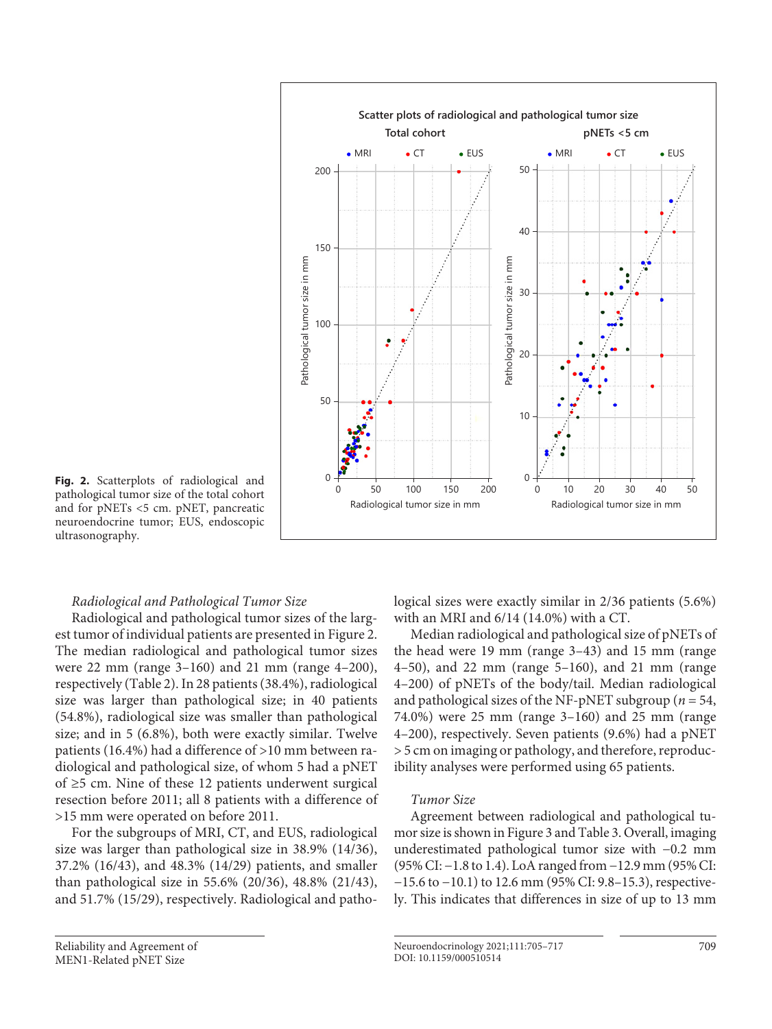

pathological tumor size of the total cohort and for pNETs <5 cm. pNET, pancreatic neuroendocrine tumor; EUS, endoscopic ultrasonography.

# *Radiological and Pathological Tumor Size*

Radiological and pathological tumor sizes of the largest tumor of individual patients are presented in Figure 2. The median radiological and pathological tumor sizes were 22 mm (range 3–160) and 21 mm (range 4–200), respectively (Table 2). In 28 patients (38.4%), radiological size was larger than pathological size; in 40 patients (54.8%), radiological size was smaller than pathological size; and in 5 (6.8%), both were exactly similar. Twelve patients (16.4%) had a difference of >10 mm between radiological and pathological size, of whom 5 had a pNET of ≥5 cm. Nine of these 12 patients underwent surgical resection before 2011; all 8 patients with a difference of >15 mm were operated on before 2011.

For the subgroups of MRI, CT, and EUS, radiological size was larger than pathological size in 38.9% (14/36), 37.2% (16/43), and 48.3% (14/29) patients, and smaller than pathological size in 55.6% (20/36), 48.8% (21/43), and 51.7% (15/29), respectively. Radiological and patho-

Reliability and Agreement of MEN1-Related pNET Size

logical sizes were exactly similar in 2/36 patients (5.6%) with an MRI and 6/14 (14.0%) with a CT.

Median radiological and pathological size of pNETs of the head were 19 mm (range 3–43) and 15 mm (range 4–50), and 22 mm (range 5–160), and 21 mm (range 4–200) of pNETs of the body/tail. Median radiological and pathological sizes of the NF-pNET subgroup (*n* = 54, 74.0%) were 25 mm (range 3–160) and 25 mm (range 4–200), respectively. Seven patients (9.6%) had a pNET > 5 cm on imaging or pathology, and therefore, reproducibility analyses were performed using 65 patients.

# *Tumor Size*

Agreement between radiological and pathological tumor size is shown in Figure 3 and Table 3. Overall, imaging underestimated pathological tumor size with −0.2 mm (95% CI: −1.8 to 1.4). LoA ranged from −12.9 mm (95% CI: −15.6 to −10.1) to 12.6 mm (95% CI: 9.8–15.3), respectively. This indicates that differences in size of up to 13 mm

Neuroendocrinology 2021;111:705–717 709 DOI: 10.1159/000510514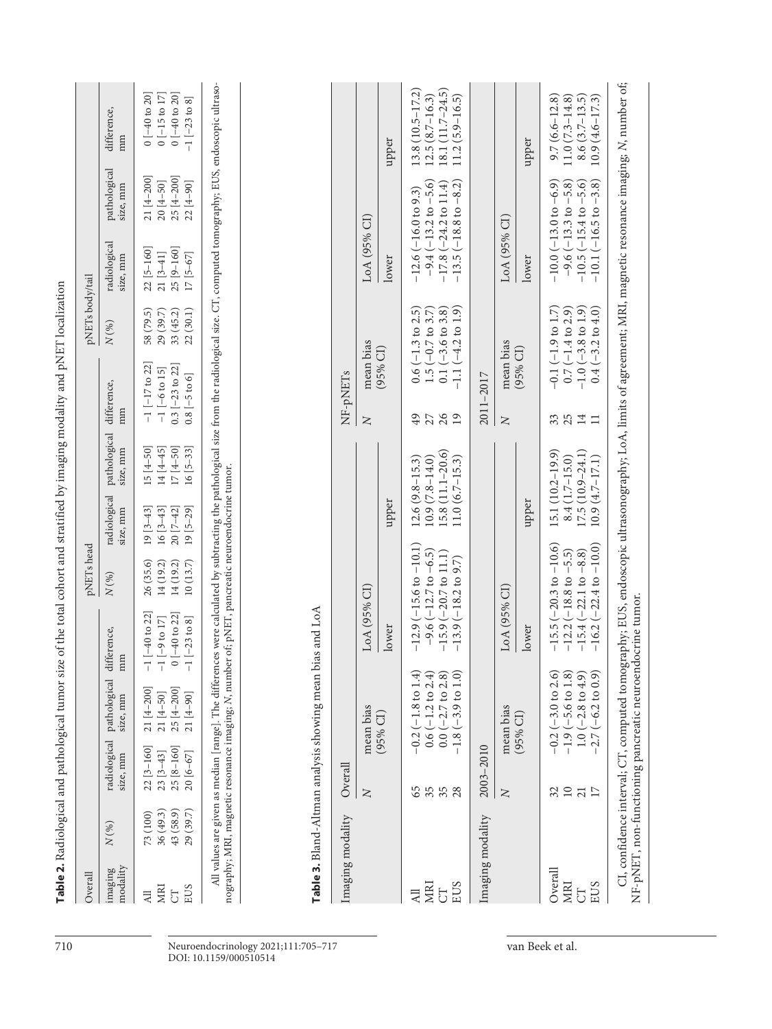Table 2. Radiological and pathological tumor size of the total cohort and stratified by imaging modality and pNET localization **Table 2.** Radiological and pathological tumor size of the total cohort and stratified by imaging modality and pNET localization

Overall pNETs head pNETs body/tail

 $\operatorname{pNETs}$  head

 $\operatorname{pNETs}$ body/tail

| maging<br>nodality | N(%)      | size, mm                  | radiological pathological difference,<br>size, mm | Ħ                                                                                               | N(96)     | size, mm               | radiological pathological difference,<br>size, mm | m                                                                                                                                                                                          | N(%)      | radiological<br>size, mm | pathological<br>size, mm | difference,<br>m        |
|--------------------|-----------|---------------------------|---------------------------------------------------|-------------------------------------------------------------------------------------------------|-----------|------------------------|---------------------------------------------------|--------------------------------------------------------------------------------------------------------------------------------------------------------------------------------------------|-----------|--------------------------|--------------------------|-------------------------|
|                    | 73 (100)  | $22 [3-160]$ $21 [4-200]$ |                                                   | $-1$ $[-40$ to 22]                                                                              |           | $26(35.6)$ 19 $[3-43]$ | $15 [4 - 50]$                                     | $-1$ $[-17$ to 22]                                                                                                                                                                         | 58 (79.5) | $22 [5 - 160]$           | $21 [4 - 200]$           | $0[-40 \text{ to } 20]$ |
|                    | 86 (49.3) | $23 [3 - 43]$             | $21 [4 - 50]$                                     | $-1$ [-9 to 17]                                                                                 | 14 (19.2) | $16 [3-43]$            | $14[4 - 45]$                                      | $-1$ [-6 to 15]                                                                                                                                                                            | 29 (39.7) | $21 [3-41]$              | $20 [4 - 50]$            | $0$ [-15 to 17]         |
| 5                  | 43 (58.9) | 25 [8-160]                | 25 [4-200]                                        | $0[-40 \text{ to } 22]$                                                                         | 14 (19.2) | $20 [7 - 42]$          | $17 [4 - 50]$                                     | $0.3$ [-23 to 22]                                                                                                                                                                          | 33(45.2)  | 25 [9-160]               | $25 [4 - 200]$           | $0[-40 \text{ to } 20]$ |
| EUS                | 29 (39.7) | $20 [6 - 67]$             | 21 [4-90]                                         | $-1$ [ $-23$ to 8]                                                                              |           | $10(13.7)$ $19[5-29]$  | $16 [5 - 33]$                                     | $0.8[-5 to 6]$                                                                                                                                                                             | 22(30.1)  | 17 [5-67]                | $22[4-90]$               | $-1[-23 \text{ to } 8]$ |
|                    |           |                           |                                                   | nography; MRI, magnetic resonance imaging; N, number of; pNET, pancreatic neuroendocrine tumor. |           |                        |                                                   | All values are given as median [range]. The differences were calculated by subtracting the pathological size from the radiological size. CT, computed tomography; EUS, endoscopic ultraso- |           |                          |                          |                         |

Ï

maan hias and I a A **Table 3.** Bland-Altman analysis showing mean bias and LoA alveic ch  $Table 2$   $Planck$   $Alman$ 

| Imaging modality Overall |                                    |                                                             |                                                                                                                                                             |                                        |                       | NF-pNETs                                               |                                                                       |                                            |
|--------------------------|------------------------------------|-------------------------------------------------------------|-------------------------------------------------------------------------------------------------------------------------------------------------------------|----------------------------------------|-----------------------|--------------------------------------------------------|-----------------------------------------------------------------------|--------------------------------------------|
|                          | Z                                  | mean bias                                                   | LoA (95% CI)                                                                                                                                                |                                        | Z                     | mean bias                                              | LoA (95% CI)                                                          |                                            |
|                          |                                    | $(95%$ CI)                                                  | lower                                                                                                                                                       | upper                                  |                       | (95% CI)                                               | lower                                                                 | upper                                      |
| MRI                      | 65                                 | $-0.2(-1.8 \text{ to } 1.4)$<br>$0.6(-1.2 \text{ to } 2.4)$ | $-12.9(-15.6 \text{ to } -10.1)$<br>$-9.6$ ( $-12.7$ to $-6.5$ )                                                                                            | $10.9(7.8 - 14.0)$<br>$12.6(9.8-15.3)$ | $\overline{49}$<br>27 | $0.6(-1.3 to 2.5)$<br>$1.5(-0.7)$ to $3.7$             | $-9.4 (-13.2 \text{ to } -5.6)$<br>$-12.6(-16.0 \text{ to } 9.3)$     | $13.8(10.5 - 17.2)$<br>$12.5(8.7 - 16.3)$  |
| EUS<br>5                 | 35<br>28                           | $-1.8(-3.9 \text{ to } 1.0)$<br>$0.0 (-2.7 to 2.8)$         | $-15.9(-20.7 \text{ to } 11.1)$<br>$-13.9(-18.2 \text{ to } 9.7)$                                                                                           | 15.8 (11.1-20.6)<br>$11.0(6.7-15.3)$   | 26<br>19              | $-1.1 (-4.2 \text{ to } 1.9)$<br>$0.1 (-3.6 to 3.8)$   | $-13.5(-18.8 \text{ to } -8.2)$<br>$-17.8$ $(-24.2 \text{ to } 11.4)$ | 18.1 $(11.7-24.5)$<br>$(1.2 (5.9 - 16.5))$ |
| Imaging modality         | 2003-2010                          |                                                             |                                                                                                                                                             |                                        |                       | 2011-2017                                              |                                                                       |                                            |
|                          | Z                                  | mean bias                                                   | LoA (95% CI)                                                                                                                                                |                                        | Z                     | mean bias                                              | LoA (95% CI)                                                          |                                            |
|                          |                                    | $(95%$ CI)                                                  | lower                                                                                                                                                       | upper                                  |                       | (95% CI)                                               | lower                                                                 | upper                                      |
| Overall                  |                                    | $-0.2$ ( $-3.0$ to 2.6)                                     | $-15.5$ ( $-20.3$ to $-10.6$ )                                                                                                                              | $15.1(10.2 - 19.9)$                    | 33                    | $-0.1 (-1.9 to 1.7)$                                   | $-10.0(-13.0 \text{ to } -6.9)$                                       | $9.7(6.6 - 12.8)$                          |
| MRI<br>5D                | $\overline{10}$<br>$\overline{21}$ | $1.9 (-5.6 to 1.8)$<br>$1.0 (-2.8 \text{ to } 4.9)$         | $-12.2(-18.8 \text{ to } -5.5)$<br>$-15.4 (-22.1 to -8.8)$                                                                                                  | $17.5(10.9 - 24.1)$<br>$8.4(1.7-15.0)$ | 25<br>$\overline{14}$ | $0.7(-1.4 \text{ to } 2.9)$<br>$-1.0$ ( $-3.8$ to 1.9) | $-9.6(-13.3 \text{ to } -5.8)$<br>$-10.5(-15.4 \text{ to } -5.6)$     | $1.0(7.3 - 14.8)$<br>$8.6(3.7-13.5)$       |
| <b>EUS</b>               | $\overline{17}$                    | $-2.7 (-6.2 \text{ to } 0.9)$                               | $-16.2(-22.4 to -10.0)$                                                                                                                                     | $10.9(4.7 - 17.1)$                     |                       | $0.4 (-3.2 to 4.0)$                                    | $-10.1(-16.5 \text{ to } -3.8)$                                       | $(0.9(4.6 - 17.3))$                        |
|                          |                                    | NF-pNET, non-functioning pancreatic neuroendocrine tumor.   | CI, confidence interval; CT, computed tomography; EUS, endoscopic ultrasonography; LoA, limits of agreement; MRI, magnetic resonance imaging; N, number of; |                                        |                       |                                                        |                                                                       |                                            |

710 Neuroendocrinology 2021;111:705–717 van Beek et al. DOI: 10.1159/000510514

Overall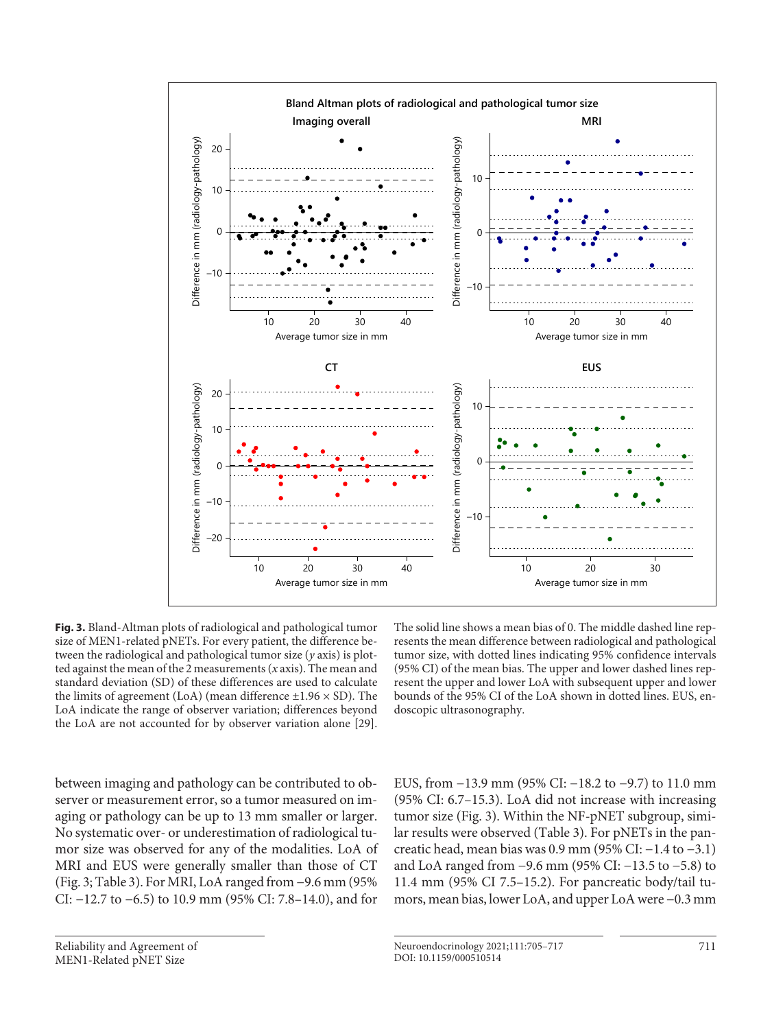

**Fig. 3.** Bland-Altman plots of radiological and pathological tumor size of MEN1-related pNETs. For every patient, the difference between the radiological and pathological tumor size (*y* axis) is plotted against the mean of the 2 measurements (*x* axis). The mean and standard deviation (SD) of these differences are used to calculate the limits of agreement (LoA) (mean difference  $\pm$ 1.96  $\times$  SD). The LoA indicate the range of observer variation; differences beyond the LoA are not accounted for by observer variation alone [[2](#page-11-1)[9\]](#page-11-7).

The solid line shows a mean bias of 0. The middle dashed line represents the mean difference between radiological and pathological tumor size, with dotted lines indicating 95% confidence intervals (95% CI) of the mean bias. The upper and lower dashed lines represent the upper and lower LoA with subsequent upper and lower bounds of the 95% CI of the LoA shown in dotted lines. EUS, endoscopic ultrasonography.

<span id="page-6-0"></span>between imaging and pathology can be contributed to observer or measurement error, so a tumor measured on imaging or pathology can be up to 13 mm smaller or larger. No systematic over- or underestimation of radiological tumor size was observed for any of the modalities. LoA of MRI and EUS were generally smaller than those of CT (Fig. 3; Table 3). For MRI, LoA ranged from −9.6 mm (95% CI: −12.7 to −6.5) to 10.9 mm (95% CI: 7.8–14.0), and for

EUS, from −13.9 mm (95% CI: −18.2 to −9.7) to 11.0 mm (95% CI: 6.7–15.3). LoA did not increase with increasing tumor size (Fig. 3). Within the NF-pNET subgroup, similar results were observed (Table 3). For pNETs in the pancreatic head, mean bias was 0.9 mm (95% CI: −1.4 to −3.1) and LoA ranged from −9.6 mm (95% CI: −13.5 to −5.8) to 11.4 mm (95% CI 7.5–15.2). For pancreatic body/tail tumors, mean bias, lower LoA, and upper LoA were −0.3 mm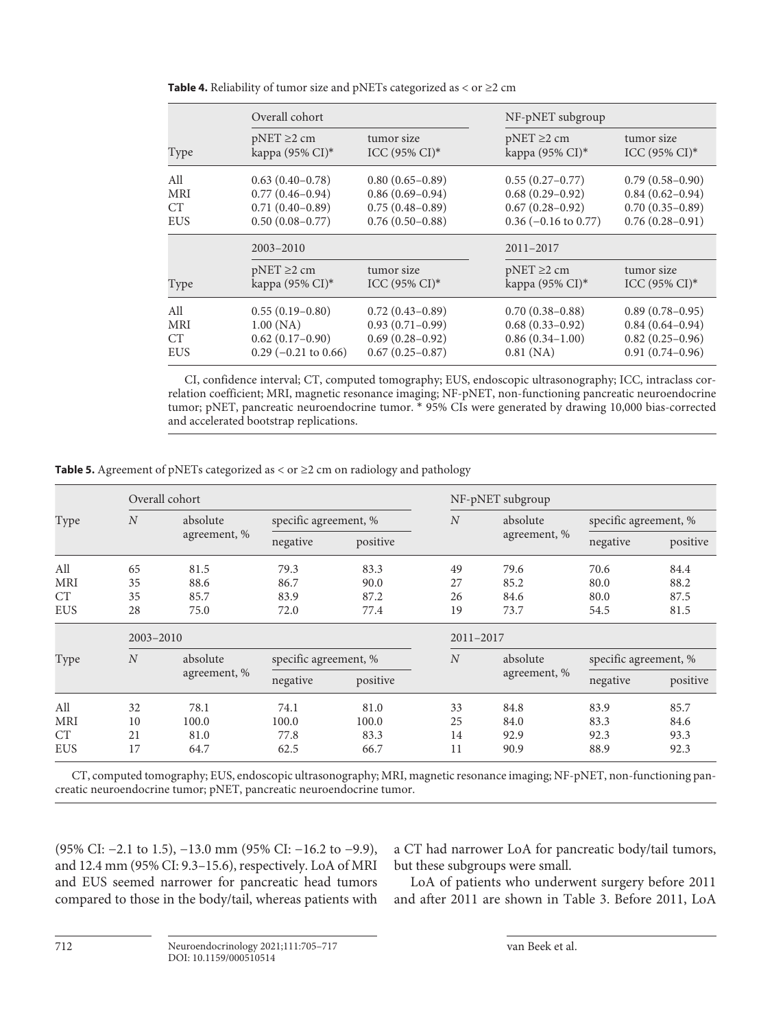|                 | Overall cohort         |                     | NF-pNET subgroup       |                     |
|-----------------|------------------------|---------------------|------------------------|---------------------|
| Type            | $pNET \geq 2$ cm       | tumor size          | $pNET \geq 2$ cm       | tumor size          |
|                 | kappa (95% CI)*        | $ICC (95\% CI)*$    | kappa (95% CI)*        | $ICC (95\% CI)*$    |
| All             | $0.63(0.40-0.78)$      | $0.80(0.65-0.89)$   | $0.55(0.27-0.77)$      | $0.79(0.58-0.90)$   |
| <b>MRI</b>      | $0.77(0.46 - 0.94)$    | $0.86(0.69 - 0.94)$ | $0.68(0.29-0.92)$      | $0.84(0.62 - 0.94)$ |
| CT <sup>-</sup> | $0.71(0.40-0.89)$      | $0.75(0.48 - 0.89)$ | $0.67(0.28 - 0.92)$    | $0.70(0.35-0.89)$   |
| <b>EUS</b>      | $0.50(0.08 - 0.77)$    | $0.76(0.50-0.88)$   | $0.36$ (-0.16 to 0.77) | $0.76(0.28 - 0.91)$ |
|                 | $2003 - 2010$          |                     | 2011-2017              |                     |
| Type            | $pNET \geq 2$ cm       | tumor size          | $pNET \geq 2$ cm       | tumor size          |
|                 | kappa (95% CI)*        | $ICC (95\% CI)*$    | kappa (95% CI)*        | $ICC (95% CI)*$     |
| All             | $0.55(0.19-0.80)$      | $0.72(0.43 - 0.89)$ | $0.70(0.38 - 0.88)$    | $0.89(0.78-0.95)$   |
| <b>MRI</b>      | 1.00(NA)               | $0.93(0.71-0.99)$   | $0.68(0.33 - 0.92)$    | $0.84(0.64 - 0.94)$ |
| <b>CT</b>       | $0.62(0.17-0.90)$      | $0.69(0.28 - 0.92)$ | $0.86(0.34-1.00)$      | $0.82(0.25-0.96)$   |
| <b>EUS</b>      | $0.29$ (-0.21 to 0.66) | $0.67(0.25-0.87)$   | 0.81(NA)               | $0.91(0.74 - 0.96)$ |

**Table 4.** Reliability of tumor size and pNETs categorized as  $<$  or  $\geq$  2 cm

CI, confidence interval; CT, computed tomography; EUS, endoscopic ultrasonography; ICC, intraclass correlation coefficient; MRI, magnetic resonance imaging; NF-pNET, non-functioning pancreatic neuroendocrine tumor; pNET, pancreatic neuroendocrine tumor. \* 95% CIs were generated by drawing 10,000 bias-corrected and accelerated bootstrap replications.

**Table 5.** Agreement of pNETs categorized as  $\langle$  or  $\geq$  2 cm on radiology and pathology

|            |                  | Overall cohort |                       |          |                | NF-pNET subgroup |                       |          |
|------------|------------------|----------------|-----------------------|----------|----------------|------------------|-----------------------|----------|
| Type       | $\boldsymbol{N}$ | absolute       | specific agreement, % |          | $\overline{N}$ | absolute         | specific agreement, % |          |
|            |                  | agreement, %   | negative              | positive |                | agreement, %     | negative              | positive |
| All        | 65               | 81.5           | 79.3                  | 83.3     | 49             | 79.6             | 70.6                  | 84.4     |
| <b>MRI</b> | 35               | 88.6           | 86.7                  | 90.0     | 27             | 85.2             | 80.0                  | 88.2     |
| <b>CT</b>  | 35               | 85.7           | 83.9                  | 87.2     | 26             | 84.6             | 80.0                  | 87.5     |
| <b>EUS</b> | 28               | 75.0           | 72.0                  | 77.4     | 19             | 73.7             | 54.5                  | 81.5     |
|            | $2003 - 2010$    |                |                       |          | 2011-2017      |                  |                       |          |
| Type       | $\overline{N}$   | absolute       | specific agreement, % |          | $\overline{N}$ | absolute         | specific agreement, % |          |
|            |                  | agreement, %   | negative              | positive |                | agreement, %     | negative              | positive |
| All        | 32               | 78.1           | 74.1                  | 81.0     | 33             | 84.8             | 83.9                  | 85.7     |
| <b>MRI</b> | 10               | 100.0          | 100.0                 | 100.0    | 25             | 84.0             | 83.3                  | 84.6     |
| <b>CT</b>  | 21               | 81.0           | 77.8                  | 83.3     | 14             | 92.9             | 92.3                  | 93.3     |
| <b>EUS</b> | 17               | 64.7           | 62.5                  | 66.7     | 11             | 90.9             | 88.9                  | 92.3     |

CT, computed tomography; EUS, endoscopic ultrasonography; MRI, magnetic resonance imaging; NF-pNET, non-functioning pancreatic neuroendocrine tumor; pNET, pancreatic neuroendocrine tumor.

(95% CI: −2.1 to 1.5), −13.0 mm (95% CI: −16.2 to −9.9), and 12.4 mm (95% CI: 9.3–15.6), respectively. LoA of MRI and EUS seemed narrower for pancreatic head tumors compared to those in the body/tail, whereas patients with a CT had narrower LoA for pancreatic body/tail tumors, but these subgroups were small.

LoA of patients who underwent surgery before 2011 and after 2011 are shown in Table 3. Before 2011, LoA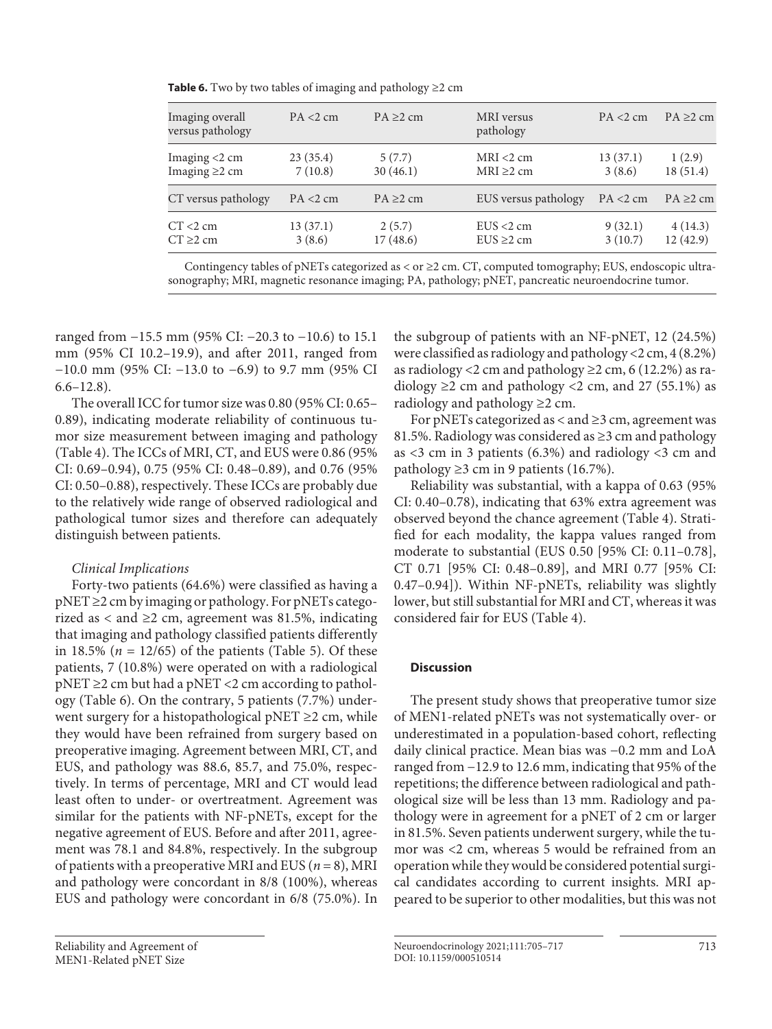**Table 6.** Two by two tables of imaging and pathology ≥2 cm

| Imaging overall<br>versus pathology | PA < 2 cm | $PA \geq 2$ cm | MRI versus<br>pathology | PA < 2 cm   | $PA \geq 2$ cm |
|-------------------------------------|-----------|----------------|-------------------------|-------------|----------------|
| Imaging $<$ 2 cm                    | 23(35.4)  | 5(7.7)         | $MRI < 2$ cm            | 13(37.1)    | 1(2.9)         |
| Imaging $\geq$ cm                   | 7(10.8)   | 30(46.1)       | $MRI \geq 2$ cm         | 3(8.6)      | 18(51.4)       |
| CT versus pathology                 | PA < 2 cm | $PA \geq 2$ cm | EUS versus pathology    | $PA < 2$ cm | $PA \geq 2$ cm |
| $CT < 2$ cm                         | 13(37.1)  | 2(5.7)         | $EUS < 2$ cm            | 9(32.1)     | 4(14.3)        |
| $CT \geq 2$ cm                      | 3(8.6)    | 17(48.6)       | $EUS \geq 2$ cm         | 3(10.7)     | 12(42.9)       |

Contingency tables of pNETs categorized as < or  $\geq$ 2 cm. CT, computed tomography; EUS, endoscopic ultrasonography; MRI, magnetic resonance imaging; PA, pathology; pNET, pancreatic neuroendocrine tumor.

ranged from −15.5 mm (95% CI: −20.3 to −10.6) to 15.1 mm (95% CI 10.2–19.9), and after 2011, ranged from −10.0 mm (95% CI: −13.0 to −6.9) to 9.7 mm (95% CI  $6.6 - 12.8$ ).

The overall ICC for tumor size was 0.80 (95% CI: 0.65– 0.89), indicating moderate reliability of continuous tumor size measurement between imaging and pathology (Table 4). The ICCs of MRI, CT, and EUS were 0.86 (95% CI: 0.69–0.94), 0.75 (95% CI: 0.48–0.89), and 0.76 (95% CI: 0.50–0.88), respectively. These ICCs are probably due to the relatively wide range of observed radiological and pathological tumor sizes and therefore can adequately distinguish between patients.

# *Clinical Implications*

Forty-two patients (64.6%) were classified as having a pNET ≥2 cm by imaging or pathology. For pNETs categorized as < and  $\geq$  2 cm, agreement was 81.5%, indicating that imaging and pathology classified patients differently in 18.5% ( $n = 12/65$ ) of the patients (Table 5). Of these patients, 7 (10.8%) were operated on with a radiological  $pNET \geq 2$  cm but had a  $pNET \leq 2$  cm according to pathology (Table 6). On the contrary, 5 patients (7.7%) underwent surgery for a histopathological pNET  $\geq$  2 cm, while they would have been refrained from surgery based on preoperative imaging. Agreement between MRI, CT, and EUS, and pathology was 88.6, 85.7, and 75.0%, respectively. In terms of percentage, MRI and CT would lead least often to under- or overtreatment. Agreement was similar for the patients with NF-pNETs, except for the negative agreement of EUS. Before and after 2011, agreement was 78.1 and 84.8%, respectively. In the subgroup of patients with a preoperative MRI and EUS (*n* = 8), MRI and pathology were concordant in 8/8 (100%), whereas EUS and pathology were concordant in 6/8 (75.0%). In

Reliability and Agreement of MEN1-Related pNET Size

the subgroup of patients with an NF-pNET, 12 (24.5%) were classified as radiology and pathology <2 cm, 4 (8.2%) as radiology <2 cm and pathology  $\geq$  2 cm, 6 (12.2%) as radiology  $\geq$  2 cm and pathology <2 cm, and 27 (55.1%) as radiology and pathology  $\geq$  2 cm.

For pNETs categorized as  $\lt$  and  $\geq$ 3 cm, agreement was 81.5%. Radiology was considered as ≥3 cm and pathology as  $\langle 3 \rangle$  cm in 3 patients (6.3%) and radiology  $\langle 3 \rangle$  cm and pathology ≥3 cm in 9 patients (16.7%).

Reliability was substantial, with a kappa of 0.63 (95% CI: 0.40–0.78), indicating that 63% extra agreement was observed beyond the chance agreement (Table 4). Stratified for each modality, the kappa values ranged from moderate to substantial (EUS 0.50 [95% CI: 0.11–0.78], CT 0.71 [95% CI: 0.48–0.89], and MRI 0.77 [95% CI: 0.47–0.94]). Within NF-pNETs, reliability was slightly lower, but still substantial for MRI and CT, whereas it was considered fair for EUS (Table 4).

# **Discussion**

The present study shows that preoperative tumor size of MEN1-related pNETs was not systematically over- or underestimated in a population-based cohort, reflecting daily clinical practice. Mean bias was −0.2 mm and LoA ranged from −12.9 to 12.6 mm, indicating that 95% of the repetitions; the difference between radiological and pathological size will be less than 13 mm. Radiology and pathology were in agreement for a pNET of 2 cm or larger in 81.5%. Seven patients underwent surgery, while the tumor was <2 cm, whereas 5 would be refrained from an operation while they would be considered potential surgical candidates according to current insights. MRI appeared to be superior to other modalities, but this was not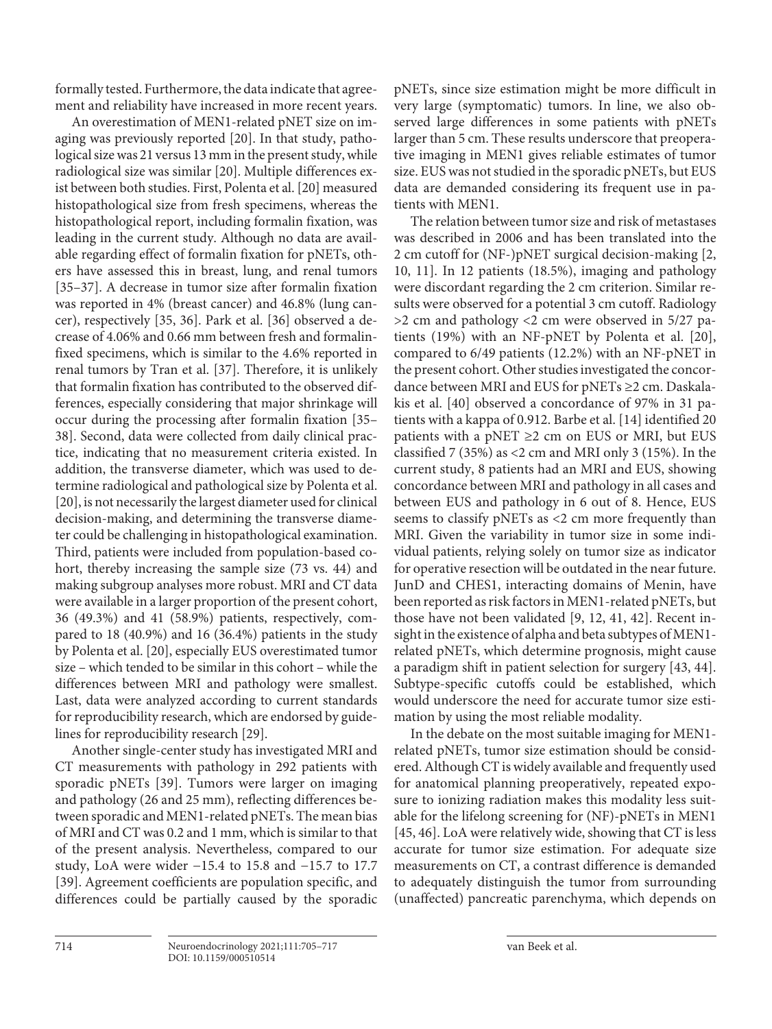formally tested. Furthermore, the data indicate that agreement and reliability have increased in more recent years.

<span id="page-9-2"></span><span id="page-9-1"></span><span id="page-9-0"></span>An overestimation of MEN1-related pNET size on imaging was previously reported [[20](#page-11-1)]. In that study, pathological size was 21 versus 13 mm in the present study, while radiological size was similar [\[2](#page-11-1)0]. Multiple differences exist between both studies. First, Polenta et al. [\[2](#page-11-1)0] measured histopathological size from fresh specimens, whereas the histopathological report, including formalin fixation, was leading in the current study. Although no data are available regarding effect of formalin fixation for pNETs, others have assessed this in breast, lung, and renal tumors [\[3](#page-11-2)[5–](#page-11-4)[3](#page-11-2)[7\]](#page-11-5). A decrease in tumor size after formalin fixation was reported in 4% (breast cancer) and 46.8% (lung cancer), respectively [[3](#page-11-2)[5](#page-11-4), [3](#page-11-2)[6](#page-11-8)]. Park et al. [[3](#page-11-2)[6](#page-11-8)] observed a decrease of 4.06% and 0.66 mm between fresh and formalinfixed specimens, which is similar to the 4.6% reported in renal tumors by Tran et al. [\[3](#page-11-2)[7\]](#page-11-5). Therefore, it is unlikely that formalin fixation has contributed to the observed differences, especially considering that major shrinkage will occur during the processing after formalin fixation [\[3](#page-11-2)[5–](#page-11-4) [3](#page-11-2)[8\]](#page-11-6). Second, data were collected from daily clinical practice, indicating that no measurement criteria existed. In addition, the transverse diameter, which was used to determine radiological and pathological size by Polenta et al. [\[2](#page-11-1)0], is not necessarily the largest diameter used for clinical decision-making, and determining the transverse diameter could be challenging in histopathological examination. Third, patients were included from population-based cohort, thereby increasing the sample size (73 vs. 44) and making subgroup analyses more robust. MRI and CT data were available in a larger proportion of the present cohort, 36 (49.3%) and 41 (58.9%) patients, respectively, compared to 18 (40.9%) and 16 (36.4%) patients in the study by Polenta et al. [\[20](#page-11-1)], especially EUS overestimated tumor size – which tended to be similar in this cohort – while the differences between MRI and pathology were smallest. Last, data were analyzed according to current standards for reproducibility research, which are endorsed by guidelines for reproducibility research [\[2](#page-11-1)[9](#page-11-7)].

<span id="page-9-3"></span>Another single-center study has investigated MRI and CT measurements with pathology in 292 patients with sporadic pNETs [[3](#page-11-2)[9](#page-11-7)]. Tumors were larger on imaging and pathology (26 and 25 mm), reflecting differences between sporadic and MEN1-related pNETs. The mean bias of MRI and CT was 0.2 and 1 mm, which is similar to that of the present analysis. Nevertheless, compared to our study, LoA were wider −15.4 to 15.8 and −15.7 to 17.7 [\[3](#page-11-2)[9\]](#page-11-7). Agreement coefficients are population specific, and differences could be partially caused by the sporadic

pNETs, since size estimation might be more difficult in very large (symptomatic) tumors. In line, we also observed large differences in some patients with pNETs larger than 5 cm. These results underscore that preoperative imaging in MEN1 gives reliable estimates of tumor size. EUS was not studied in the sporadic pNETs, but EUS data are demanded considering its frequent use in patients with MEN1.

<span id="page-9-4"></span>The relation between tumor size and risk of metastases was described in 2006 and has been translated into the 2 cm cutoff for (NF-)pNET surgical decision-making [[2](#page-11-1), [1](#page-11-0)0, [11](#page-11-0)]. In 12 patients (18.5%), imaging and pathology were discordant regarding the 2 cm criterion. Similar results were observed for a potential 3 cm cutoff. Radiology >2 cm and pathology <2 cm were observed in 5/27 patients (19%) with an NF-pNET by Polenta et al. [[2](#page-11-1)0], compared to 6/49 patients (12.2%) with an NF-pNET in the present cohort. Other studies investigated the concordance between MRI and EUS for pNETs ≥2 cm. Daskalakis et al. [[40](#page-11-3)] observed a concordance of 97% in 31 patients with a kappa of 0.912. Barbe et al. [\[1](#page-11-0)[4\]](#page-11-3) identified 20 patients with a pNET  $\geq$  2 cm on EUS or MRI, but EUS classified 7 (35%) as <2 cm and MRI only 3 (15%). In the current study, 8 patients had an MRI and EUS, showing concordance between MRI and pathology in all cases and between EUS and pathology in 6 out of 8. Hence, EUS seems to classify pNETs as <2 cm more frequently than MRI. Given the variability in tumor size in some individual patients, relying solely on tumor size as indicator for operative resection will be outdated in the near future. JunD and CHES1, interacting domains of Menin, have been reported as risk factors in MEN1-related pNETs, but those have not been validated [\[9,](#page-11-7) [1](#page-11-0)[2,](#page-11-1) [4](#page-11-3)[1](#page-11-0), [4](#page-11-3)[2](#page-11-1)]. Recent insight in the existence of alpha and beta subtypes of MEN1 related pNETs, which determine prognosis, might cause a paradigm shift in patient selection for surgery [\[4](#page-11-3)[3,](#page-11-2) [44](#page-11-3)]. Subtype-specific cutoffs could be established, which would underscore the need for accurate tumor size estimation by using the most reliable modality.

<span id="page-9-6"></span><span id="page-9-5"></span>In the debate on the most suitable imaging for MEN1 related pNETs, tumor size estimation should be considered. Although CT is widely available and frequently used for anatomical planning preoperatively, repeated exposure to ionizing radiation makes this modality less suitable for the lifelong screening for (NF)-pNETs in MEN1 [[4](#page-11-3)[5](#page-11-4), [4](#page-11-3)[6](#page-11-8)]. LoA were relatively wide, showing that CT is less accurate for tumor size estimation. For adequate size measurements on CT, a contrast difference is demanded to adequately distinguish the tumor from surrounding (unaffected) pancreatic parenchyma, which depends on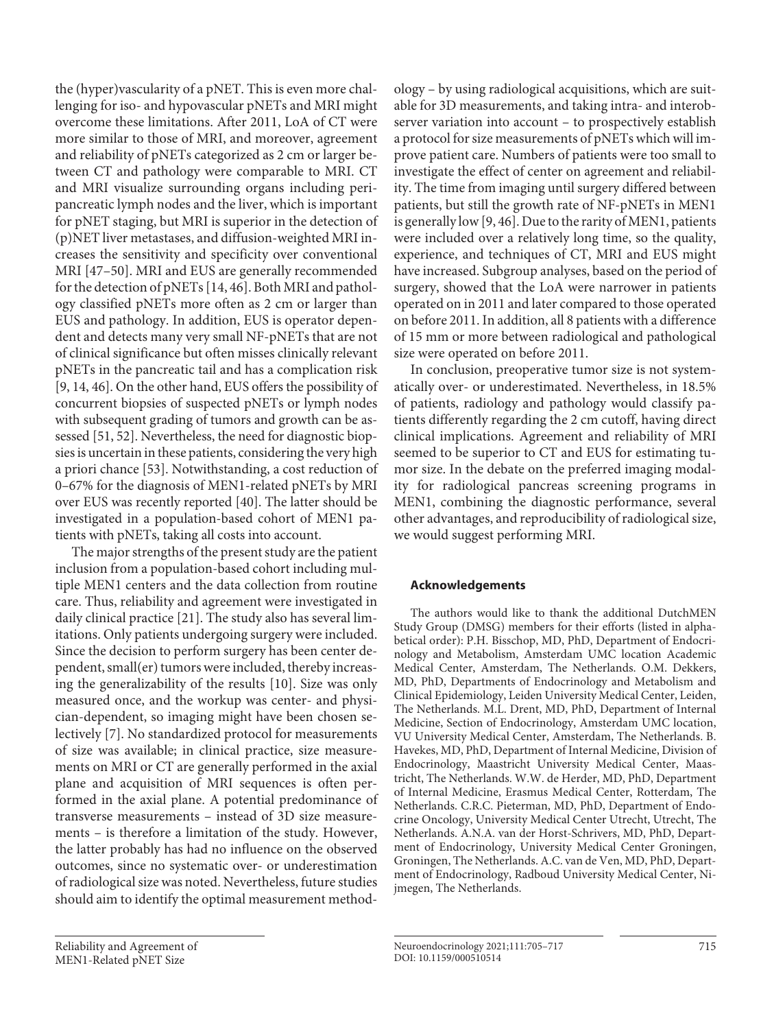the (hyper)vascularity of a pNET. This is even more challenging for iso- and hypovascular pNETs and MRI might overcome these limitations. After 2011, LoA of CT were more similar to those of MRI, and moreover, agreement and reliability of pNETs categorized as 2 cm or larger between CT and pathology were comparable to MRI. CT and MRI visualize surrounding organs including peripancreatic lymph nodes and the liver, which is important for pNET staging, but MRI is superior in the detection of (p)NET liver metastases, and diffusion-weighted MRI increases the sensitivity and specificity over conventional MRI [\[4](#page-11-3)[7](#page-11-5)[–50](#page-11-4)]. MRI and EUS are generally recommended for the detection of pNETs [\[1](#page-11-0)[4](#page-11-3), [4](#page-11-3)[6\]](#page-11-8). Both MRI and pathology classified pNETs more often as 2 cm or larger than EUS and pathology. In addition, EUS is operator dependent and detects many very small NF-pNETs that are not of clinical significance but often misses clinically relevant pNETs in the pancreatic tail and has a complication risk [\[9](#page-11-7), [1](#page-11-0)[4](#page-11-3), [4](#page-11-3)[6](#page-11-8)]. On the other hand, EUS offers the possibility of concurrent biopsies of suspected pNETs or lymph nodes with subsequent grading of tumors and growth can be assessed [\[5](#page-11-4)[1](#page-11-0), [5](#page-11-4)[2](#page-11-1)]. Nevertheless, the need for diagnostic biopsies is uncertain in these patients, considering the very high a priori chance [\[5](#page-11-4)[3\]](#page-11-2). Notwithstanding, a cost reduction of 0–67% for the diagnosis of MEN1-related pNETs by MRI over EUS was recently reported [\[40](#page-11-3)]. The latter should be investigated in a population-based cohort of MEN1 patients with pNETs, taking all costs into account.

The major strengths of the present study are the patient inclusion from a population-based cohort including multiple MEN1 centers and the data collection from routine care. Thus, reliability and agreement were investigated in daily clinical practice [\[2](#page-11-1)[1\]](#page-11-0). The study also has several limitations. Only patients undergoing surgery were included. Since the decision to perform surgery has been center dependent, small(er) tumors were included, thereby increasing the generalizability of the results [[10](#page-11-0)]. Size was only measured once, and the workup was center- and physician-dependent, so imaging might have been chosen selectively [\[7\]](#page-11-5). No standardized protocol for measurements of size was available; in clinical practice, size measurements on MRI or CT are generally performed in the axial plane and acquisition of MRI sequences is often performed in the axial plane. A potential predominance of transverse measurements – instead of 3D size measurements – is therefore a limitation of the study. However, the latter probably has had no influence on the observed outcomes, since no systematic over- or underestimation of radiological size was noted. Nevertheless, future studies should aim to identify the optimal measurement method-

Reliability and Agreement of MEN1-Related pNET Size

ology – by using radiological acquisitions, which are suitable for 3D measurements, and taking intra- and interobserver variation into account – to prospectively establish a protocol for size measurements of pNETs which will improve patient care. Numbers of patients were too small to investigate the effect of center on agreement and reliability. The time from imaging until surgery differed between patients, but still the growth rate of NF-pNETs in MEN1 is generally low [[9](#page-11-7), [4](#page-11-3)[6\]](#page-11-8). Due to the rarity of MEN1, patients were included over a relatively long time, so the quality, experience, and techniques of CT, MRI and EUS might have increased. Subgroup analyses, based on the period of surgery, showed that the LoA were narrower in patients operated on in 2011 and later compared to those operated on before 2011. In addition, all 8 patients with a difference of 15 mm or more between radiological and pathological size were operated on before 2011.

In conclusion, preoperative tumor size is not systematically over- or underestimated. Nevertheless, in 18.5% of patients, radiology and pathology would classify patients differently regarding the 2 cm cutoff, having direct clinical implications. Agreement and reliability of MRI seemed to be superior to CT and EUS for estimating tumor size. In the debate on the preferred imaging modality for radiological pancreas screening programs in MEN1, combining the diagnostic performance, several other advantages, and reproducibility of radiological size, we would suggest performing MRI.

# **Acknowledgements**

The authors would like to thank the additional DutchMEN Study Group (DMSG) members for their efforts (listed in alphabetical order): P.H. Bisschop, MD, PhD, Department of Endocrinology and Metabolism, Amsterdam UMC location Academic Medical Center, Amsterdam, The Netherlands. O.M. Dekkers, MD, PhD, Departments of Endocrinology and Metabolism and Clinical Epidemiology, Leiden University Medical Center, Leiden, The Netherlands. M.L. Drent, MD, PhD, Department of Internal Medicine, Section of Endocrinology, Amsterdam UMC location, VU University Medical Center, Amsterdam, The Netherlands. B. Havekes, MD, PhD, Department of Internal Medicine, Division of Endocrinology, Maastricht University Medical Center, Maastricht, The Netherlands. W.W. de Herder, MD, PhD, Department of Internal Medicine, Erasmus Medical Center, Rotterdam, The Netherlands. C.R.C. Pieterman, MD, PhD, Department of Endocrine Oncology, University Medical Center Utrecht, Utrecht, The Netherlands. A.N.A. van der Horst-Schrivers, MD, PhD, Department of Endocrinology, University Medical Center Groningen, Groningen, The Netherlands. A.C. van de Ven, MD, PhD, Department of Endocrinology, Radboud University Medical Center, Nijmegen, The Netherlands.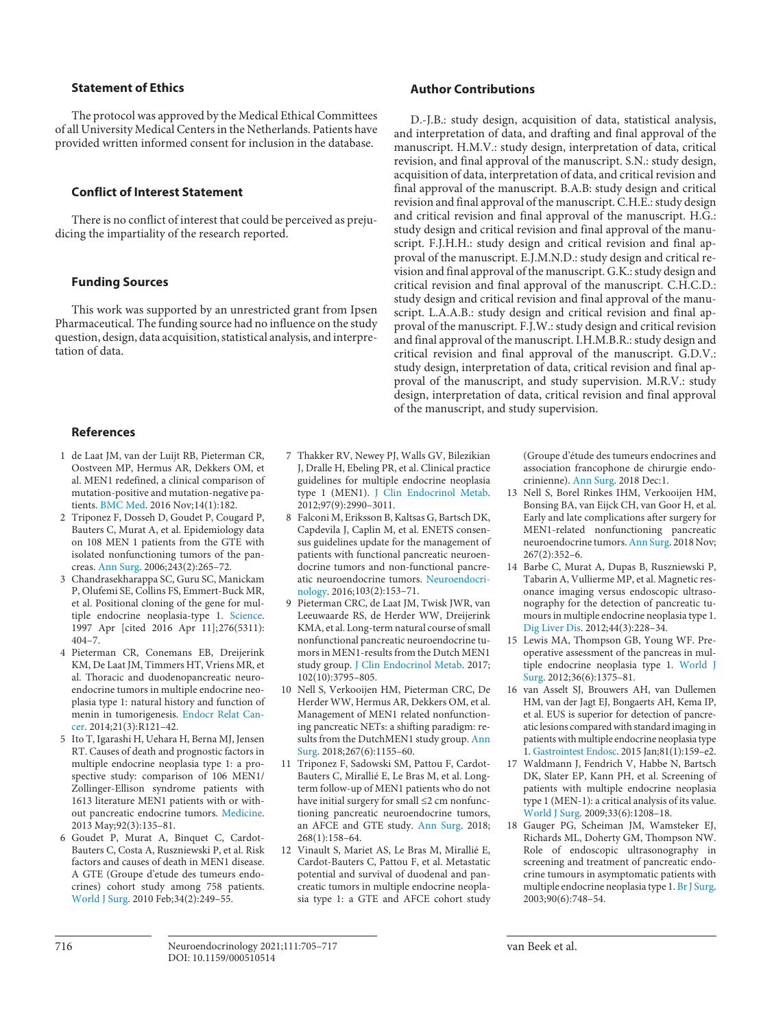### **Statement of Ethics**

The protocol was approved by the Medical Ethical Committees of all University Medical Centers in the Netherlands. Patients have provided written informed consent for inclusion in the database.

## **Conflict of Interest Statement**

There is no conflict of interest that could be perceived as prejudicing the impartiality of the research reported.

## **Funding Sources**

This work was supported by an unrestricted grant from Ipsen Pharmaceutical. The funding source had no influence on the study question, design, data acquisition, statistical analysis, and interpretation of data.

#### **References**

- <span id="page-11-0"></span>[1](#page-1-0) de Laat JM, van der Luijt RB, Pieterman CR, Oostveen MP, Hermus AR, Dekkers OM, et al. MEN1 redefined, a clinical comparison of mutation-positive and mutation-negative patients. [BMC Med](https://www.karger.com/Article/FullText/510514?ref=1#ref1). 2016 Nov;14(1):182.
- <span id="page-11-1"></span>[2](#page-6-0) Triponez F, Dosseh D, Goudet P, Cougard P, Bauters C, Murat A, et al. Epidemiology data on 108 MEN 1 patients from the GTE with isolated nonfunctioning tumors of the pancreas. [Ann Surg.](https://www.karger.com/Article/FullText/510514?ref=2#ref2) 2006;243(2):265–72.
- <span id="page-11-2"></span>[3](#page-1-1) Chandrasekharappa SC, Guru SC, Manickam P, Olufemi SE, Collins FS, Emmert-Buck MR, et al. Positional cloning of the gene for multiple endocrine neoplasia-type 1. [Science](https://www.karger.com/Article/FullText/510514?ref=3#ref3). 1997 Apr [cited 2016 Apr 11];276(5311): 404–7.
- <span id="page-11-3"></span>[4](#page-1-2) Pieterman CR, Conemans EB, Dreijerink KM, De Laat JM, Timmers HT, Vriens MR, et al. Thoracic and duodenopancreatic neuroendocrine tumors in multiple endocrine neoplasia type 1: natural history and function of menin in tumorigenesis. [Endocr Relat Can](https://www.karger.com/Article/FullText/510514?ref=4#ref4)[cer](https://www.karger.com/Article/FullText/510514?ref=4#ref4). 2014;21(3):R121–42.
- <span id="page-11-4"></span>[5](#page-1-3) Ito T, Igarashi H, Uehara H, Berna MJ, Jensen RT. Causes of death and prognostic factors in multiple endocrine neoplasia type 1: a prospective study: comparison of 106 MEN1/ Zollinger-Ellison syndrome patients with 1613 literature MEN1 patients with or without pancreatic endocrine tumors. [Medicine](https://www.karger.com/Article/FullText/510514?ref=5#ref5). 2013 May;92(3):135–81.
- <span id="page-11-8"></span>[6](#page-1-3) Goudet P, Murat A, Binquet C, Cardot-Bauters C, Costa A, Ruszniewski P, et al. Risk factors and causes of death in MEN1 disease. A GTE (Groupe d'etude des tumeurs endocrines) cohort study among 758 patients. [World J Surg.](https://www.karger.com/Article/FullText/510514?ref=6#ref6) 2010 Feb;34(2):249–55.
- <span id="page-11-5"></span>[7](#page-1-3) Thakker RV, Newey PJ, Walls GV, Bilezikian J, Dralle H, Ebeling PR, et al. Clinical practice guidelines for multiple endocrine neoplasia type 1 (MEN1). [J Clin Endocrinol Metab.](https://www.karger.com/Article/FullText/510514?ref=7#ref7) 2012;97(9):2990–3011.
- <span id="page-11-6"></span>[8](#page-1-4) Falconi M, Eriksson B, Kaltsas G, Bartsch DK, Capdevila J, Caplin M, et al. ENETS consensus guidelines update for the management of patients with functional pancreatic neuroendocrine tumors and non-functional pancreatic neuroendocrine tumors. [Neuroendocri](https://www.karger.com/Article/FullText/510514?ref=8#ref8)[nology](https://www.karger.com/Article/FullText/510514?ref=8#ref8). 2016;103(2):153–71.
- <span id="page-11-7"></span>[9](#page-6-0) Pieterman CRC, de Laat JM, Twisk JWR, van Leeuwaarde RS, de Herder WW, Dreijerink KMA, et al. Long-term natural course of small nonfunctional pancreatic neuroendocrine tumors in MEN1-results from the Dutch MEN1 study group. [J Clin Endocrinol Metab.](https://www.karger.com/Article/FullText/510514?ref=9#ref9) 2017; 102(10):3795–805.
- [10](#page-1-5) Nell S, Verkooijen HM, Pieterman CRC, De Herder WW, Hermus AR, Dekkers OM, et al. Management of MEN1 related nonfunctioning pancreatic NETs: a shifting paradigm: results from the DutchMEN1 study group. [Ann](https://www.karger.com/Article/FullText/510514?ref=10#ref10) [Surg.](https://www.karger.com/Article/FullText/510514?ref=10#ref10) 2018;267(6):1155–60.
- [11](#page-1-5) Triponez F, Sadowski SM, Pattou F, Cardot-Bauters C, Mirallié E, Le Bras M, et al. Longterm follow-up of MEN1 patients who do not have initial surgery for small ≤2 cm nonfunctioning pancreatic neuroendocrine tumors, an AFCE and GTE study. [Ann Surg.](https://www.karger.com/Article/FullText/510514?ref=11#ref11) 2018; 268(1):158–64.
- [12](#page-1-5) Vinault S, Mariet AS, Le Bras M, Mirallié E, Cardot-Bauters C, Pattou F, et al. Metastatic potential and survival of duodenal and pancreatic tumors in multiple endocrine neoplasia type 1: a GTE and AFCE cohort study

## **Author Contributions**

D.-J.B.: study design, acquisition of data, statistical analysis, and interpretation of data, and drafting and final approval of the manuscript. H.M.V.: study design, interpretation of data, critical revision, and final approval of the manuscript. S.N.: study design, acquisition of data, interpretation of data, and critical revision and final approval of the manuscript. B.A.B: study design and critical revision and final approval of the manuscript. C.H.E.: study design and critical revision and final approval of the manuscript. H.G.: study design and critical revision and final approval of the manuscript. F.J.H.H.: study design and critical revision and final approval of the manuscript. E.J.M.N.D.: study design and critical revision and final approval of the manuscript. G.K.: study design and critical revision and final approval of the manuscript. C.H.C.D.: study design and critical revision and final approval of the manuscript. L.A.A.B.: study design and critical revision and final approval of the manuscript. F.J.W.: study design and critical revision and final approval of the manuscript. I.H.M.B.R.: study design and critical revision and final approval of the manuscript. G.D.V.: study design, interpretation of data, critical revision and final approval of the manuscript, and study supervision. M.R.V.: study design, interpretation of data, critical revision and final approval of the manuscript, and study supervision.

> (Groupe d'étude des tumeurs endocrines and association francophone de chirurgie endocrinienne). [Ann Surg.](https://www.karger.com/Article/FullText/510514?ref=12#ref12) 2018 Dec:1.

- [13](#page-1-6) Nell S, Borel Rinkes IHM, Verkooijen HM, Bonsing BA, van Eijck CH, van Goor H, et al. Early and late complications after surgery for MEN1-related nonfunctioning pancreatic neuroendocrine tumors. [Ann Surg](https://www.karger.com/Article/FullText/510514?ref=13#ref13). 2018 Nov; 267(2):352–6.
- [14](#page-1-7) Barbe C, Murat A, Dupas B, Ruszniewski P, Tabarin A, Vullierme MP, et al. Magnetic resonance imaging versus endoscopic ultrasonography for the detection of pancreatic tumours in multiple endocrine neoplasia type 1. [Dig Liver Dis](https://www.karger.com/Article/FullText/510514?ref=14#ref14). 2012;44(3):228–34.
- [15](#page-1-7) Lewis MA, Thompson GB, Young WF. Preoperative assessment of the pancreas in multiple endocrine neoplasia type 1. [World J](https://www.karger.com/Article/FullText/510514?ref=15#ref15)  [Surg](https://www.karger.com/Article/FullText/510514?ref=15#ref15). 2012;36(6):1375–81.
- [16](#page-1-7) van Asselt SJ, Brouwers AH, van Dullemen HM, van der Jagt EJ, Bongaerts AH, Kema IP, et al. EUS is superior for detection of pancreatic lesions compared with standard imaging in patients with multiple endocrine neoplasia type 1. [Gastrointest Endosc.](https://www.karger.com/Article/FullText/510514?ref=16#ref16) 2015 Jan;81(1):159–e2.
- [17](#page-1-7) Waldmann J, Fendrich V, Habbe N, Bartsch DK, Slater EP, Kann PH, et al. Screening of patients with multiple endocrine neoplasia type 1 (MEN-1): a critical analysis of its value. [World J Surg](https://www.karger.com/Article/FullText/510514?ref=17#ref17). 2009;33(6):1208–18.
- [18](#page-1-7) Gauger PG, Scheiman JM, Wamsteker EJ, Richards ML, Doherty GM, Thompson NW. Role of endoscopic ultrasonography in screening and treatment of pancreatic endocrine tumours in asymptomatic patients with multiple endocrine neoplasia type 1. [Br J Surg.](https://www.karger.com/Article/FullText/510514?ref=18#ref18) 2003;90(6):748–54.